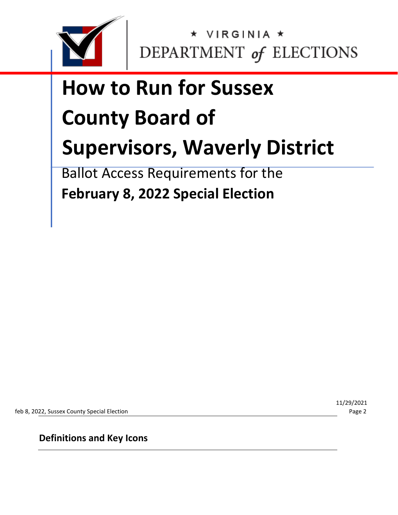

# **How to Run for Sussex County Board of Supervisors, Waverly District**

Ballot Access Requirements for the **February 8, 2022 Special Election** 

feb 8, 2022, Sussex County Special Election Page 2

11/29/2021

**Definitions and Key Icons**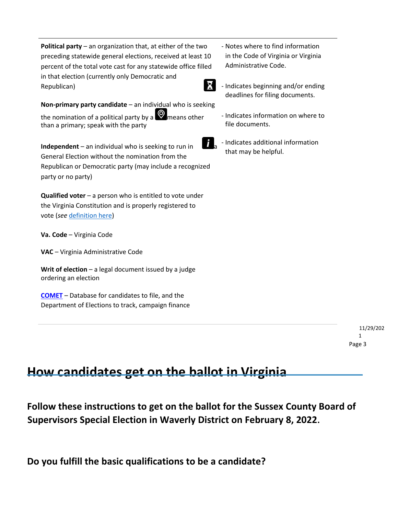**Political party** – an organization that, at either of the two preceding statewide general elections, received at least 10 percent of the total vote cast for any statewide office filled in that election (currently only Democratic and Republican)

**Non-primary party candidate** – an individual who is seeking the nomination of a political party by a  $\blacksquare$  means other than a primary; speak with the party

**Independent** – an individual who is seeking to run in General Election without the nomination from the Republican or Democratic party (may include a recognized party or no party)

**Qualified voter** – a person who is entitled to vote under the Virginia Constitution and is properly registered to vote (*see* [definition here\)](https://law.lis.virginia.gov/vacode/title24.2/chapter1/section24.2-101/)

**Va. Code** – Virginia Code

**VAC** – Virginia Administrative Code

**Writ of election** – a legal document issued by a judge ordering an election

**[COMET](https://cf.elections.virginia.gov/Account/LogOn?ReturnUrl=%2f)** [–](https://cf.elections.virginia.gov/Account/LogOn?ReturnUrl=%2f) Database for candidates to file, and the Department of Elections to track, campaign finance

- Notes where to find information in the Code of Virginia or Virginia Administrative Code.
- Indicates beginning and/or ending deadlines for filing documents.
	- Indicates information on where to file documents.
- 

- Indicates additional information that may be helpful.

> 11/29/202 1 Page 3

## **How candidates get on the ballot in Virginia**

**Follow these instructions to get on the ballot for the Sussex County Board of Supervisors Special Election in Waverly District on February 8, 2022.**

**Do you fulfill the basic qualifications to be a candidate?**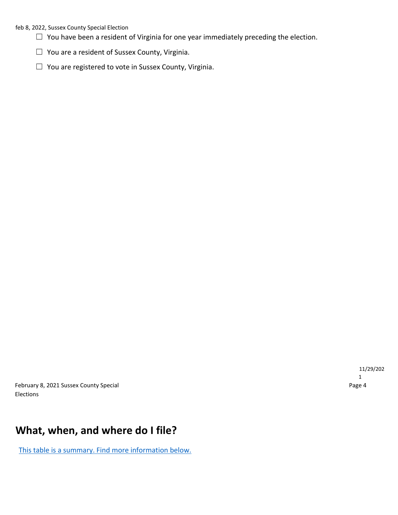#### feb 8, 2022, Sussex County Special Election

- $\Box$  You have been a resident of Virginia for one year immediately preceding the election.
- ☐ You are a resident of Sussex County, Virginia.
- ☐ You are registered to vote in Sussex County, Virginia.

February 8, 2021 Sussex County Special **Page 4** and 2011 12:30 February 8, 2021 Sussex County Special Elections

## **What, when, and where do I file?**

This table is a summary. Find more information below.

11/29/202 1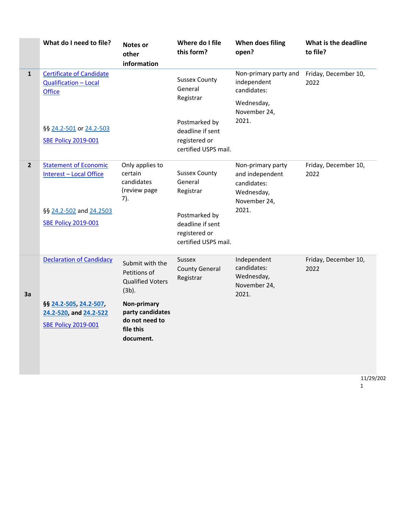|              | What do I need to file?                                                          | <b>Notes or</b><br>other<br>information                                            | Where do I file<br>this form?                                              | When does filing<br>open?                                                         | What is the deadline<br>to file? |
|--------------|----------------------------------------------------------------------------------|------------------------------------------------------------------------------------|----------------------------------------------------------------------------|-----------------------------------------------------------------------------------|----------------------------------|
| $\mathbf{1}$ | <b>Certificate of Candidate</b><br><b>Qualification - Local</b><br><b>Office</b> |                                                                                    | <b>Sussex County</b><br>General<br>Registrar                               | Non-primary party and<br>independent<br>candidates:<br>Wednesday,<br>November 24, | Friday, December 10,<br>2022     |
|              | §§ 24.2-501 or 24.2-503<br><b>SBE Policy 2019-001</b>                            |                                                                                    | Postmarked by<br>deadline if sent<br>registered or<br>certified USPS mail. | 2021.                                                                             |                                  |
| $\mathbf{2}$ | <b>Statement of Economic</b><br><b>Interest - Local Office</b>                   | Only applies to<br>certain<br>candidates<br>(review page<br>7).                    | <b>Sussex County</b><br>General<br>Registrar                               | Non-primary party<br>and independent<br>candidates:<br>Wednesday,<br>November 24, | Friday, December 10,<br>2022     |
|              | §§ 24.2-502 and 24.2503<br><b>SBE Policy 2019-001</b>                            |                                                                                    | Postmarked by<br>deadline if sent<br>registered or<br>certified USPS mail. | 2021.                                                                             |                                  |
| 3a           | <b>Declaration of Candidacy</b>                                                  | Submit with the<br>Petitions of<br><b>Qualified Voters</b><br>$(3b)$ .             | <b>Sussex</b><br><b>County General</b><br>Registrar                        | Independent<br>candidates:<br>Wednesday,<br>November 24,<br>2021.                 | Friday, December 10,<br>2022     |
|              | §§ 24.2-505, 24.2-507,<br>24.2-520, and 24.2-522<br><b>SBE Policy 2019-001</b>   | <b>Non-primary</b><br>party candidates<br>do not need to<br>file this<br>document. |                                                                            |                                                                                   |                                  |

11/29/202

1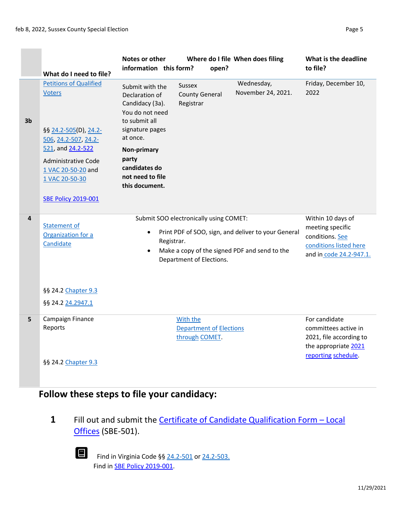$\frac{1}{2} \left( \frac{1}{2} \right) \left( \frac{1}{2} \right) \left( \frac{1}{2} \right) \left( \frac{1}{2} \right) \left( \frac{1}{2} \right) \left( \frac{1}{2} \right) \left( \frac{1}{2} \right) \left( \frac{1}{2} \right) \left( \frac{1}{2} \right) \left( \frac{1}{2} \right) \left( \frac{1}{2} \right) \left( \frac{1}{2} \right) \left( \frac{1}{2} \right) \left( \frac{1}{2} \right) \left( \frac{1}{2} \right) \left( \frac{1}{2} \right) \left( \frac$  $\overline{\phantom{a}}$ 

|                         | What do I need to file?                                                                                                                                                                                           | Notes or other<br>information this form?                                                                                                                                                               | open?                                                              | Where do I file When does filing                                                                     | What is the deadline<br>to file?                                                                                |
|-------------------------|-------------------------------------------------------------------------------------------------------------------------------------------------------------------------------------------------------------------|--------------------------------------------------------------------------------------------------------------------------------------------------------------------------------------------------------|--------------------------------------------------------------------|------------------------------------------------------------------------------------------------------|-----------------------------------------------------------------------------------------------------------------|
| 3 <sub>b</sub>          | <b>Petitions of Qualified</b><br><b>Voters</b><br>§§ 24.2-505(D), 24.2-<br>506, 24.2-507, 24.2-<br>521, and 24.2-522<br>Administrative Code<br>1 VAC 20-50-20 and<br>1 VAC 20-50-30<br><b>SBE Policy 2019-001</b> | Submit with the<br>Declaration of<br>Candidacy (3a).<br>You do not need<br>to submit all<br>signature pages<br>at once.<br>Non-primary<br>party<br>candidates do<br>not need to file<br>this document. | Sussex<br><b>County General</b><br>Registrar                       | Wednesday,<br>November 24, 2021.                                                                     | Friday, December 10,<br>2022                                                                                    |
| $\overline{\mathbf{4}}$ | <b>Statement of</b><br>Organization for a<br>Candidate<br>§§ 24.2 Chapter 9.3<br>§§ 24.2 24.2947.1                                                                                                                | $\bullet$<br>Registrar.                                                                                                                                                                                | Submit SOO electronically using COMET:<br>Department of Elections. | Print PDF of SOO, sign, and deliver to your General<br>Make a copy of the signed PDF and send to the | Within 10 days of<br>meeting specific<br>conditions. See<br>conditions listed here<br>and in code 24.2-947.1.   |
| 5                       | Campaign Finance<br>Reports<br>§§ 24.2 Chapter 9.3                                                                                                                                                                |                                                                                                                                                                                                        | With the<br><b>Department of Elections</b><br>through COMET.       |                                                                                                      | For candidate<br>committees active in<br>2021, file according to<br>the appropriate 2021<br>reporting schedule. |

## **Follow these steps to file your candidacy:**

**1** Fill out and submit th[e](https://www.elections.virginia.gov/media/formswarehouse/campaign-finance/2018/candidates/SBE_501_4-rev7-18.pdf) **[Certificate of Candidate](https://www.elections.virginia.gov/media/formswarehouse/campaign-finance/2018/candidates/SBE_501_4-rev7-18.pdf) [Qualification Form](https://www.elections.virginia.gov/media/formswarehouse/campaign-finance/2018/candidates/SBE_501_4-rev7-18.pdf) - [Local](https://www.elections.virginia.gov/media/formswarehouse/campaign-finance/2018/candidates/SBE_501_4-rev7-18.pdf)** [Offices](https://www.elections.virginia.gov/media/formswarehouse/campaign-finance/2018/candidates/SBE_501_4-rev7-18.pdf) [\(S](https://www.elections.virginia.gov/media/formswarehouse/campaign-finance/2018/candidates/SBE_501_4-rev7-18.pdf)BE-501).



Find in Virginia Code §§ [24.2-501](https://law.lis.virginia.gov/vacode/title24.2/chapter5/section24.2-501/) [or](https://law.lis.virginia.gov/vacode/title24.2/chapter5/section24.2-501/) [24.2-503.](https://law.lis.virginia.gov/vacode/title24.2/chapter5/section24.2-503/) Find in **SBE Policy 2019-001**.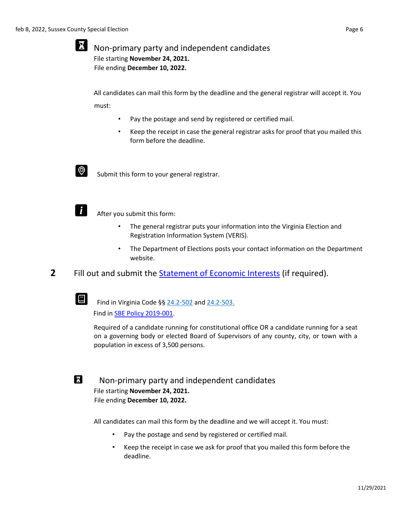#### X Non-primary party and independent candidates File starting **November 24, 2021.**  File ending **December 10, 2022.**

All candidates can mail this form by the deadline and the general registrar will accept it. You must:

- Pay the postage and send by registered or certified mail.
- Keep the receipt in case the general registrar asks for proof that you mailed this form before the deadline.



Submit this form to your general registrar.



After you submit this form:

- The general registrar puts your information into the Virginia Election and Registration Information System (VERIS).
- The Department of Elections posts your contact information on the Department website.
- **2** Fill out and submit th[e](https://www.elections.virginia.gov/media/SOEI-State-and-Local-Statement-of-Economic-Interests.pdf) [Statement of Economic Interests](https://www.elections.virginia.gov/media/SOEI-State-and-Local-Statement-of-Economic-Interests.pdf) [\(i](https://www.elections.virginia.gov/media/SOEI-State-and-Local-Statement-of-Economic-Interests.pdf)f required).



Find in Virginia Code §§ [24.2-502](https://law.lis.virginia.gov/vacode/title24.2/chapter5/section24.2-502/) [an](https://law.lis.virginia.gov/vacode/title24.2/chapter5/section24.2-502/)[d 24.2-503.](https://law.lis.virginia.gov/vacode/title24.2/chapter5/section24.2-503/) Find in [SBE Policy 2019-001.](https://www.elections.virginia.gov/media/electionadministration/electionlaw/2019_001_SBE_policy_10_29.pdf) 

Required of a candidate running for constitutional office OR a candidate running for a seat on a governing body or elected Board of Supervisors of any county, city, or town with a population in excess of 3,500 persons.



Non-primary party and independent candidates File starting **November 24, 2021.**  File ending **December 10, 2022.**

All candidates can mail this form by the deadline and we will accept it. You must:

- Pay the postage and send by registered or certified mail.
- Keep the receipt in case we ask for proof that you mailed this form before the deadline.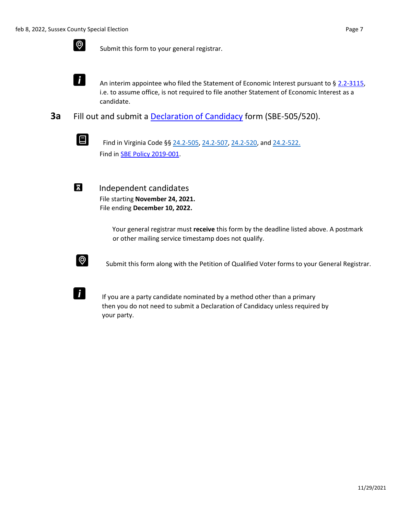

 $\bigotimes$  Submit this form to your general registrar.

 $\mathbf{i}$ An interim appointee who filed the Statement of Economic Interest pursuant to [§](https://law.lis.virginia.gov/vacode/title2.2/chapter31/section2.2-3115/) [2.2-3115,](https://law.lis.virginia.gov/vacode/title2.2/chapter31/section2.2-3115/) i.e. to assume office, is not required to file another Statement of Economic Interest as a candidate.

**3a** Fill out and submit a [Declaration of Candidacy](https://www.elections.virginia.gov/media/formswarehouse/campaign-finance/2018/candidates/SBE_505_520_Declaration_of_Candidacy_Rev1_15.pdf) [fo](https://www.elections.virginia.gov/media/formswarehouse/campaign-finance/2018/candidates/SBE_505_520_Declaration_of_Candidacy_Rev1_15.pdf)rm (SBE-505/520).



Find in Virginia Code §§ [24.2-505,](https://law.lis.virginia.gov/vacode/title24.2/chapter5/section24.2-505/) [24.2-507,](https://law.lis.virginia.gov/vacode/title24.2/chapter5/section24.2-507/) [24.2-520,](https://law.lis.virginia.gov/vacode/title24.2/chapter5/section24.2-507/) a[nd 24.2-522.](https://law.lis.virginia.gov/vacode/title24.2/chapter5/section24.2-522/) Find i[n SBE Policy 2019-001.](https://www.elections.virginia.gov/media/electionadministration/electionlaw/2019_001_SBE_policy_10_29.pdf) 

 $\mathbf{X}$ 

Independent candidates File starting **November 24, 2021.**  File ending **December 10, 2022.**

> Your general registrar must **receive** this form by the deadline listed above. A postmark or other mailing service timestamp does not qualify.



Submit this form along with the Petition of Qualified Voter forms to your General Registrar.



If you are a party candidate nominated by a method other than a primary then you do not need to submit a Declaration of Candidacy unless required by your party.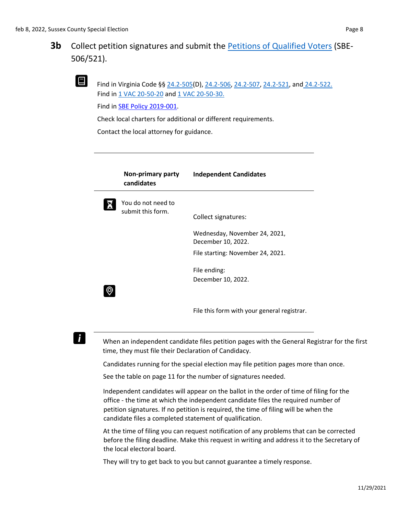

Find in Virginia Code §§ [24.2-505\(D](https://law.lis.virginia.gov/vacode/title24.2/chapter5/section24.2-505/))[, 24.2-506,](https://law.lis.virginia.gov/vacode/title24.2/chapter5/section24.2-506/) [24.2-507,](https://law.lis.virginia.gov/vacode/title24.2/chapter5/section24.2-506/) [24.2-521, an](https://law.lis.virginia.gov/vacode/title24.2/chapter5/section24.2-521/)[d](https://law.lis.virginia.gov/vacode/title24.2/chapter5/section24.2-522/) [24.2-522.](https://law.lis.virginia.gov/vacode/title24.2/chapter5/section24.2-522/) Find in [1 VAC 20-50-20](https://law.lis.virginia.gov/admincode/title1/agency20/chapter50/section20/) [a](https://law.lis.virginia.gov/admincode/title1/agency20/chapter50/section20/)[nd 1 VAC 20-50-30.](https://law.lis.virginia.gov/admincode/title1/agency20/chapter50/section30/)

Find in [SBE Policy 2019-001.](https://www.elections.virginia.gov/media/electionadministration/electionlaw/2019_001_SBE_policy_10_29.pdf)

Check local charters for additional or different requirements.

Contact the local attorney for guidance.

| <b>Non-primary party</b><br>candidates  | <b>Independent Candidates</b>                                                                                   |
|-----------------------------------------|-----------------------------------------------------------------------------------------------------------------|
| You do not need to<br>submit this form. | Collect signatures:<br>Wednesday, November 24, 2021,<br>December 10, 2022.<br>File starting: November 24, 2021. |
|                                         | File ending:<br>December 10, 2022.                                                                              |

File this form with your general registrar.

## $\mathbf{i}$

When an independent candidate files petition pages with the General Registrar for the first time, they must file their Declaration of Candidacy.

Candidates running for the special election may file petition pages more than once.

See the table on page 11 for the number of signatures needed.

Independent candidates will appear on the ballot in the order of time of filing for the office - the time at which the independent candidate files the required number of petition signatures. If no petition is required, the time of filing will be when the candidate files a completed statement of qualification.

At the time of filing you can request notification of any problems that can be corrected before the filing deadline. Make this request in writing and address it to the Secretary of the local electoral board.

They will try to get back to you but cannot guarantee a timely response.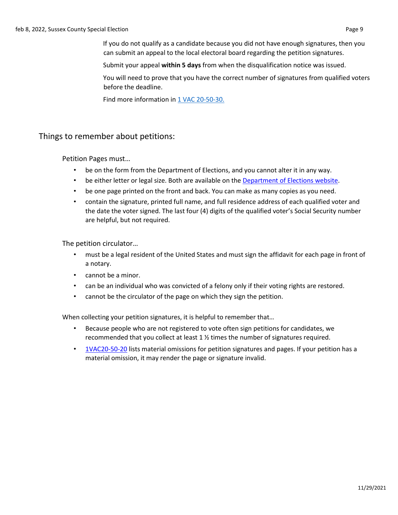If you do not qualify as a candidate because you did not have enough signatures, then you can submit an appeal to the local electoral board regarding the petition signatures.

Submit your appeal **within 5 days** from when the disqualification notice was issued.

You will need to prove that you have the correct number of signatures from qualified voters before the deadline.

Find more information in [1 VAC 20-50-30.](https://law.lis.virginia.gov/admincode/title1/agency20/chapter50/section30/)

#### Things to remember about petitions:

Petition Pages must…

- be on the form from the Department of Elections, and you cannot alter it in any way.
- be either letter or legal size. Both are available on the [Department of Elections](https://www.elections.virginia.gov/candidatepac-info/candidate-forms/index.html) [website.](https://www.elections.virginia.gov/candidatepac-info/candidate-forms/index.html)
- be one page printed on the front and back. You can make as many copies as you need.
- contain the signature, printed full name, and full residence address of each qualified voter and the date the voter signed. The last four (4) digits of the qualified voter's Social Security number are helpful, but not required.

The petition circulator…

- must be a legal resident of the United States and must sign the affidavit for each page in front of a notary.
- cannot be a minor.
- can be an individual who was convicted of a felony only if their voting rights are restored.
- cannot be the circulator of the page on which they sign the petition.

When collecting your petition signatures, it is helpful to remember that…

- Because people who are not registered to vote often sign petitions for candidates, we recommended that you collect at least 1 ½ times the number of signatures required.
- [1VAC20-50-20](https://law.lis.virginia.gov/admincode/title1/agency20/chapter50/section20/) [li](https://law.lis.virginia.gov/admincode/title1/agency20/chapter50/section20/)sts material omissions for petition signatures and pages. If your petition has a material omission, it may render the page or signature invalid.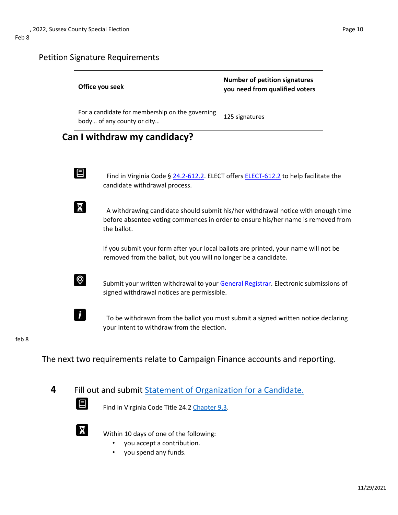### Petition Signature Requirements

| Office you seek                                                               | <b>Number of petition signatures</b><br>you need from qualified voters                                                                                               |  |
|-------------------------------------------------------------------------------|----------------------------------------------------------------------------------------------------------------------------------------------------------------------|--|
| For a candidate for membership on the governing<br>body of any county or city | 125 signatures                                                                                                                                                       |  |
| Can I withdraw my candidacy?                                                  |                                                                                                                                                                      |  |
| $\blacksquare$<br>candidate withdrawal process.                               | Find in Virginia Code § 24.2-612.2. ELECT offers ELECT-612.2 to help facilitate the                                                                                  |  |
| the ballot.                                                                   | A withdrawing candidate should submit his/her withdrawal notice with enough time<br>before absentee voting commences in order to ensure his/her name is removed from |  |
| removed from the ballot, but you will no longer be a candidate.               | If you submit your form after your local ballots are printed, your name will not be                                                                                  |  |
| $\circledcirc$<br>signed withdrawal notices are permissible.                  | Submit your written withdrawal to your General Registrar. Electronic submissions of                                                                                  |  |
| your intent to withdraw from the election.                                    | To be withdrawn from the ballot you must submit a signed written notice declaring                                                                                    |  |
|                                                                               |                                                                                                                                                                      |  |

#### feb 8

The next two requirements relate to Campaign Finance accounts and reporting.

**4** Fill out and submi[t](https://www.elections.virginia.gov/Files/Forms/Candidates/StatementOrganizationCandidate.pdf) [Statement of Organization for a](https://www.elections.virginia.gov/Files/Forms/Candidates/StatementOrganizationCandidate.pdf) [Candidate.](https://www.elections.virginia.gov/Files/Forms/Candidates/StatementOrganizationCandidate.pdf)

Find in Virginia Code Title 24.2 [Chapter](https://law.lis.virginia.gov/vacode/title24.2/chapter9.3/) [9.3.](https://law.lis.virginia.gov/vacode/title24.2/chapter9.3/)



 $\bm{\Xi}$ 

Within 10 days of one of the following:

- you accept a contribution.
- you spend any funds.